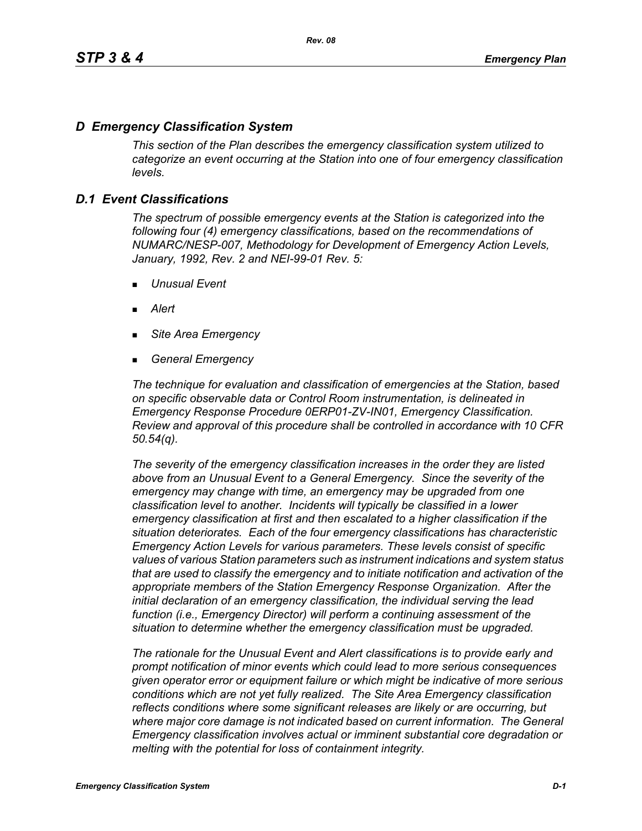# *D Emergency Classification System*

*This section of the Plan describes the emergency classification system utilized to categorize an event occurring at the Station into one of four emergency classification levels.*

# *D.1 Event Classifications*

*The spectrum of possible emergency events at the Station is categorized into the following four (4) emergency classifications, based on the recommendations of NUMARC/NESP-007, Methodology for Development of Emergency Action Levels, January, 1992, Rev. 2 and NEI-99-01 Rev. 5:*

- *Unusual Event*
- *Alert*
- *Site Area Emergency*
- *General Emergency*

*The technique for evaluation and classification of emergencies at the Station, based on specific observable data or Control Room instrumentation, is delineated in Emergency Response Procedure 0ERP01-ZV-IN01, Emergency Classification. Review and approval of this procedure shall be controlled in accordance with 10 CFR 50.54(q).*

*The severity of the emergency classification increases in the order they are listed above from an Unusual Event to a General Emergency. Since the severity of the emergency may change with time, an emergency may be upgraded from one classification level to another. Incidents will typically be classified in a lower emergency classification at first and then escalated to a higher classification if the situation deteriorates. Each of the four emergency classifications has characteristic Emergency Action Levels for various parameters. These levels consist of specific values of various Station parameters such as instrument indications and system status that are used to classify the emergency and to initiate notification and activation of the appropriate members of the Station Emergency Response Organization. After the initial declaration of an emergency classification, the individual serving the lead function (i.e., Emergency Director) will perform a continuing assessment of the situation to determine whether the emergency classification must be upgraded.*

*The rationale for the Unusual Event and Alert classifications is to provide early and prompt notification of minor events which could lead to more serious consequences given operator error or equipment failure or which might be indicative of more serious conditions which are not yet fully realized. The Site Area Emergency classification reflects conditions where some significant releases are likely or are occurring, but*  where major core damage is not indicated based on current information. The General *Emergency classification involves actual or imminent substantial core degradation or melting with the potential for loss of containment integrity.*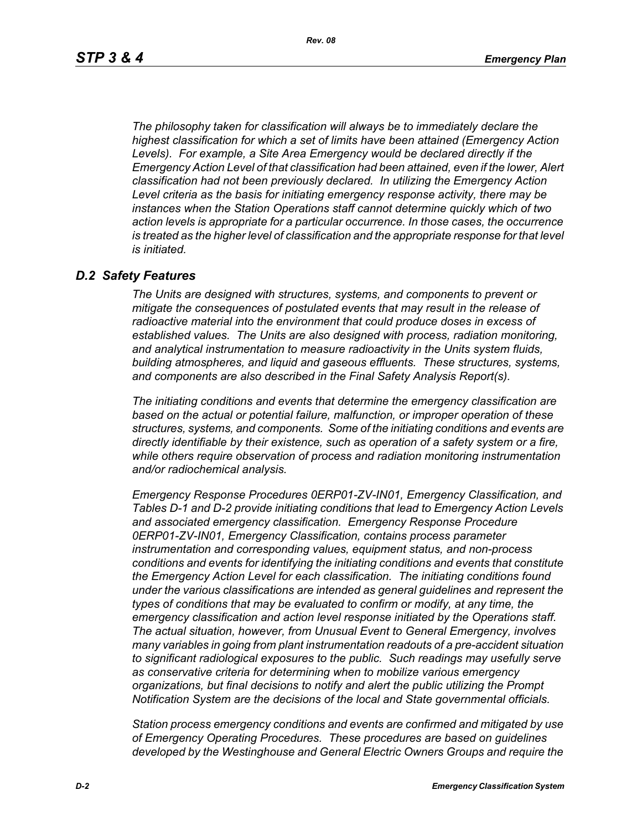*The philosophy taken for classification will always be to immediately declare the highest classification for which a set of limits have been attained (Emergency Action Levels). For example, a Site Area Emergency would be declared directly if the Emergency Action Level of that classification had been attained, even if the lower, Alert classification had not been previously declared. In utilizing the Emergency Action Level criteria as the basis for initiating emergency response activity, there may be instances when the Station Operations staff cannot determine quickly which of two action levels is appropriate for a particular occurrence. In those cases, the occurrence*  is treated as the higher level of classification and the appropriate response for that level *is initiated.*

### *D.2 Safety Features*

*The Units are designed with structures, systems, and components to prevent or mitigate the consequences of postulated events that may result in the release of radioactive material into the environment that could produce doses in excess of established values. The Units are also designed with process, radiation monitoring, and analytical instrumentation to measure radioactivity in the Units system fluids, building atmospheres, and liquid and gaseous effluents. These structures, systems, and components are also described in the Final Safety Analysis Report(s).*

*The initiating conditions and events that determine the emergency classification are based on the actual or potential failure, malfunction, or improper operation of these structures, systems, and components. Some of the initiating conditions and events are directly identifiable by their existence, such as operation of a safety system or a fire, while others require observation of process and radiation monitoring instrumentation and/or radiochemical analysis.*

*Emergency Response Procedures 0ERP01-ZV-IN01, Emergency Classification, and Tables D-1 and D-2 provide initiating conditions that lead to Emergency Action Levels and associated emergency classification. Emergency Response Procedure 0ERP01-ZV-IN01, Emergency Classification, contains process parameter instrumentation and corresponding values, equipment status, and non-process conditions and events for identifying the initiating conditions and events that constitute the Emergency Action Level for each classification. The initiating conditions found under the various classifications are intended as general guidelines and represent the types of conditions that may be evaluated to confirm or modify, at any time, the emergency classification and action level response initiated by the Operations staff. The actual situation, however, from Unusual Event to General Emergency, involves many variables in going from plant instrumentation readouts of a pre-accident situation to significant radiological exposures to the public. Such readings may usefully serve as conservative criteria for determining when to mobilize various emergency organizations, but final decisions to notify and alert the public utilizing the Prompt Notification System are the decisions of the local and State governmental officials.*

*Station process emergency conditions and events are confirmed and mitigated by use of Emergency Operating Procedures. These procedures are based on guidelines developed by the Westinghouse and General Electric Owners Groups and require the*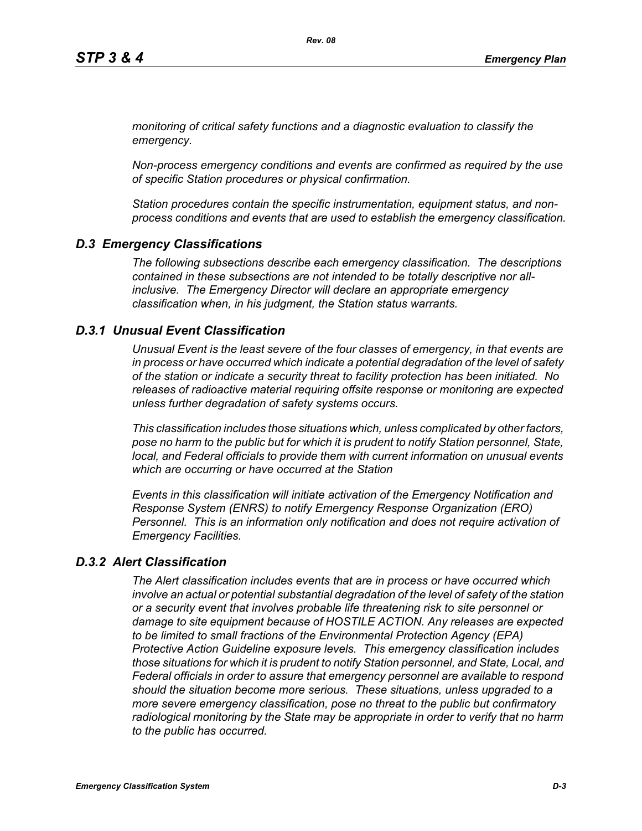*monitoring of critical safety functions and a diagnostic evaluation to classify the emergency.*

*Non-process emergency conditions and events are confirmed as required by the use of specific Station procedures or physical confirmation.*

*Station procedures contain the specific instrumentation, equipment status, and nonprocess conditions and events that are used to establish the emergency classification.*

# *D.3 Emergency Classifications*

*The following subsections describe each emergency classification. The descriptions contained in these subsections are not intended to be totally descriptive nor allinclusive. The Emergency Director will declare an appropriate emergency classification when, in his judgment, the Station status warrants.*

### *D.3.1 Unusual Event Classification*

*Unusual Event is the least severe of the four classes of emergency, in that events are in process or have occurred which indicate a potential degradation of the level of safety of the station or indicate a security threat to facility protection has been initiated. No releases of radioactive material requiring offsite response or monitoring are expected unless further degradation of safety systems occurs.*

*This classification includes those situations which, unless complicated by other factors, pose no harm to the public but for which it is prudent to notify Station personnel, State, local, and Federal officials to provide them with current information on unusual events which are occurring or have occurred at the Station*

*Events in this classification will initiate activation of the Emergency Notification and Response System (ENRS) to notify Emergency Response Organization (ERO) Personnel. This is an information only notification and does not require activation of Emergency Facilities.* 

# *D.3.2 Alert Classification*

*The Alert classification includes events that are in process or have occurred which involve an actual or potential substantial degradation of the level of safety of the station or a security event that involves probable life threatening risk to site personnel or damage to site equipment because of HOSTILE ACTION. Any releases are expected to be limited to small fractions of the Environmental Protection Agency (EPA) Protective Action Guideline exposure levels. This emergency classification includes those situations for which it is prudent to notify Station personnel, and State, Local, and Federal officials in order to assure that emergency personnel are available to respond should the situation become more serious. These situations, unless upgraded to a more severe emergency classification, pose no threat to the public but confirmatory radiological monitoring by the State may be appropriate in order to verify that no harm to the public has occurred.*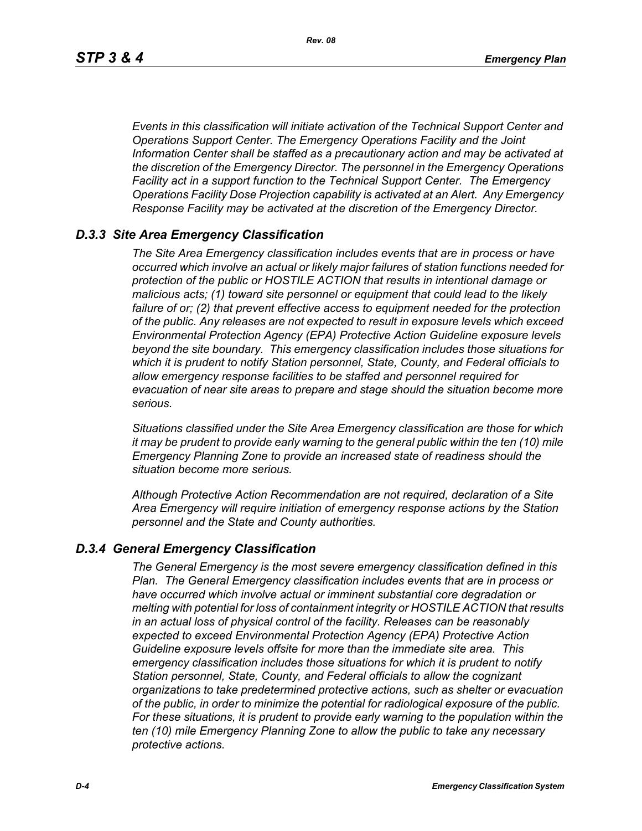*Events in this classification will initiate activation of the Technical Support Center and Operations Support Center. The Emergency Operations Facility and the Joint Information Center shall be staffed as a precautionary action and may be activated at the discretion of the Emergency Director. The personnel in the Emergency Operations Facility act in a support function to the Technical Support Center. The Emergency Operations Facility Dose Projection capability is activated at an Alert. Any Emergency Response Facility may be activated at the discretion of the Emergency Director.*

## *D.3.3 Site Area Emergency Classification*

*The Site Area Emergency classification includes events that are in process or have occurred which involve an actual or likely major failures of station functions needed for protection of the public or HOSTILE ACTION that results in intentional damage or malicious acts; (1) toward site personnel or equipment that could lead to the likely failure of or; (2) that prevent effective access to equipment needed for the protection of the public. Any releases are not expected to result in exposure levels which exceed Environmental Protection Agency (EPA) Protective Action Guideline exposure levels beyond the site boundary. This emergency classification includes those situations for which it is prudent to notify Station personnel, State, County, and Federal officials to allow emergency response facilities to be staffed and personnel required for evacuation of near site areas to prepare and stage should the situation become more serious.* 

*Situations classified under the Site Area Emergency classification are those for which it may be prudent to provide early warning to the general public within the ten (10) mile Emergency Planning Zone to provide an increased state of readiness should the situation become more serious.*

*Although Protective Action Recommendation are not required, declaration of a Site Area Emergency will require initiation of emergency response actions by the Station personnel and the State and County authorities.*

### *D.3.4 General Emergency Classification*

*The General Emergency is the most severe emergency classification defined in this Plan. The General Emergency classification includes events that are in process or have occurred which involve actual or imminent substantial core degradation or melting with potential for loss of containment integrity or HOSTILE ACTION that results in an actual loss of physical control of the facility. Releases can be reasonably expected to exceed Environmental Protection Agency (EPA) Protective Action Guideline exposure levels offsite for more than the immediate site area. This emergency classification includes those situations for which it is prudent to notify Station personnel, State, County, and Federal officials to allow the cognizant organizations to take predetermined protective actions, such as shelter or evacuation of the public, in order to minimize the potential for radiological exposure of the public. For these situations, it is prudent to provide early warning to the population within the ten (10) mile Emergency Planning Zone to allow the public to take any necessary protective actions.*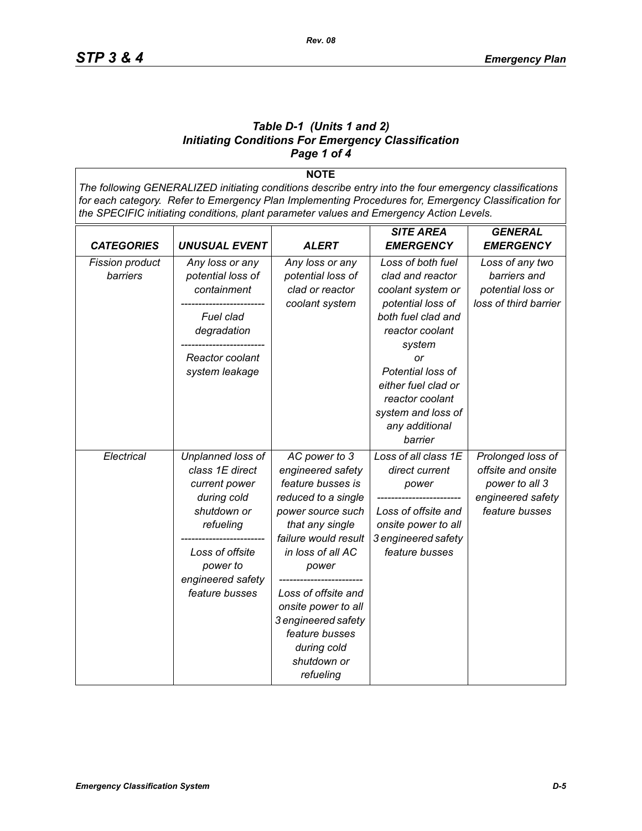#### *Table D-1 (Units 1 and 2) Initiating Conditions For Emergency Classification Page 1 of 4*

**NOTE** *The following GENERALIZED initiating conditions describe entry into the four emergency classifications for each category. Refer to Emergency Plan Implementing Procedures for, Emergency Classification for the SPECIFIC initiating conditions, plant parameter values and Emergency Action Levels.*

|                        |                      |                      | <b>SITE AREA</b>     | <b>GENERAL</b>        |
|------------------------|----------------------|----------------------|----------------------|-----------------------|
| <b>CATEGORIES</b>      | <b>UNUSUAL EVENT</b> | ALERT                | <b>EMERGENCY</b>     | <b>EMERGENCY</b>      |
| <b>Fission product</b> | Any loss or any      | Any loss or any      | Loss of both fuel    | Loss of any two       |
| barriers               | potential loss of    | potential loss of    | clad and reactor     | barriers and          |
|                        | containment          | clad or reactor      | coolant system or    | potential loss or     |
|                        |                      | coolant system       | potential loss of    | loss of third barrier |
|                        | Fuel clad            |                      | both fuel clad and   |                       |
|                        | degradation          |                      | reactor coolant      |                       |
|                        |                      |                      | system               |                       |
|                        | Reactor coolant      |                      | or                   |                       |
|                        | system leakage       |                      | Potential loss of    |                       |
|                        |                      |                      | either fuel clad or  |                       |
|                        |                      |                      | reactor coolant      |                       |
|                        |                      |                      | system and loss of   |                       |
|                        |                      |                      | any additional       |                       |
|                        |                      |                      | barrier              |                       |
| Electrical             | Unplanned loss of    | AC power to 3        | Loss of all class 1E | Prolonged loss of     |
|                        | class 1E direct      | engineered safety    | direct current       | offsite and onsite    |
|                        | current power        | feature busses is    | power                | power to all 3        |
|                        | during cold          | reduced to a single  |                      | engineered safety     |
|                        | shutdown or          | power source such    | Loss of offsite and  | feature busses        |
|                        | refueling            | that any single      | onsite power to all  |                       |
|                        |                      | failure would result | 3 engineered safety  |                       |
|                        | Loss of offsite      | in loss of all AC    | feature busses       |                       |
|                        | power to             | power                |                      |                       |
|                        | engineered safety    |                      |                      |                       |
|                        | feature busses       | Loss of offsite and  |                      |                       |
|                        |                      | onsite power to all  |                      |                       |
|                        |                      | 3 engineered safety  |                      |                       |
|                        |                      | feature busses       |                      |                       |
|                        |                      | during cold          |                      |                       |
|                        |                      | shutdown or          |                      |                       |
|                        |                      | refueling            |                      |                       |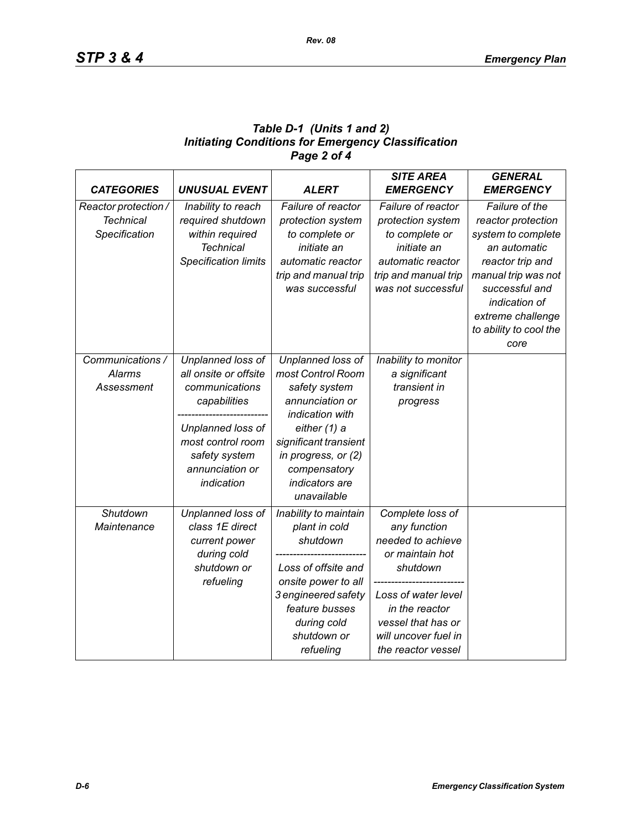## *Table D-1 (Units 1 and 2) Initiating Conditions for Emergency Classification Page 2 of 4*

| <b>CATEGORIES</b>    | <b>UNUSUAL EVENT</b>        | <b>ALERT</b>          | <b>SITE AREA</b><br><b>EMERGENCY</b> | <b>GENERAL</b><br><b>EMERGENCY</b> |
|----------------------|-----------------------------|-----------------------|--------------------------------------|------------------------------------|
| Reactor protection / | Inability to reach          | Failure of reactor    | Failure of reactor                   | Failure of the                     |
| <b>Technical</b>     | required shutdown           | protection system     | protection system                    | reactor protection                 |
| Specification        | within required             | to complete or        | to complete or                       | system to complete                 |
|                      | <b>Technical</b>            | initiate an           | initiate an                          | an automatic                       |
|                      | <b>Specification limits</b> | automatic reactor     | automatic reactor                    | reactor trip and                   |
|                      |                             | trip and manual trip  | trip and manual trip                 | manual trip was not                |
|                      |                             | was successful        | was not successful                   | successful and                     |
|                      |                             |                       |                                      | indication of                      |
|                      |                             |                       |                                      | extreme challenge                  |
|                      |                             |                       |                                      | to ability to cool the             |
|                      |                             |                       |                                      | core                               |
| Communications /     | Unplanned loss of           | Unplanned loss of     | Inability to monitor                 |                                    |
| <b>Alarms</b>        | all onsite or offsite       | most Control Room     | a significant                        |                                    |
| Assessment           | communications              | safety system         | transient in                         |                                    |
|                      | capabilities                | annunciation or       | progress                             |                                    |
|                      |                             | indication with       |                                      |                                    |
|                      | Unplanned loss of           | either (1) a          |                                      |                                    |
|                      | most control room           | significant transient |                                      |                                    |
|                      | safety system               | in progress, or (2)   |                                      |                                    |
|                      | annunciation or             | compensatory          |                                      |                                    |
|                      | indication                  | indicators are        |                                      |                                    |
|                      |                             | unavailable           |                                      |                                    |
| Shutdown             | Unplanned loss of           | Inability to maintain | Complete loss of                     |                                    |
| Maintenance          | class 1E direct             | plant in cold         | any function                         |                                    |
|                      | current power               | shutdown              | needed to achieve                    |                                    |
|                      | during cold                 |                       | or maintain hot                      |                                    |
|                      | shutdown or                 | Loss of offsite and   | shutdown                             |                                    |
|                      | refueling                   | onsite power to all   |                                      |                                    |
|                      |                             | 3 engineered safety   | Loss of water level                  |                                    |
|                      |                             | feature busses        | in the reactor                       |                                    |
|                      |                             | during cold           | vessel that has or                   |                                    |
|                      |                             | shutdown or           | will uncover fuel in                 |                                    |
|                      |                             | refueling             | the reactor vessel                   |                                    |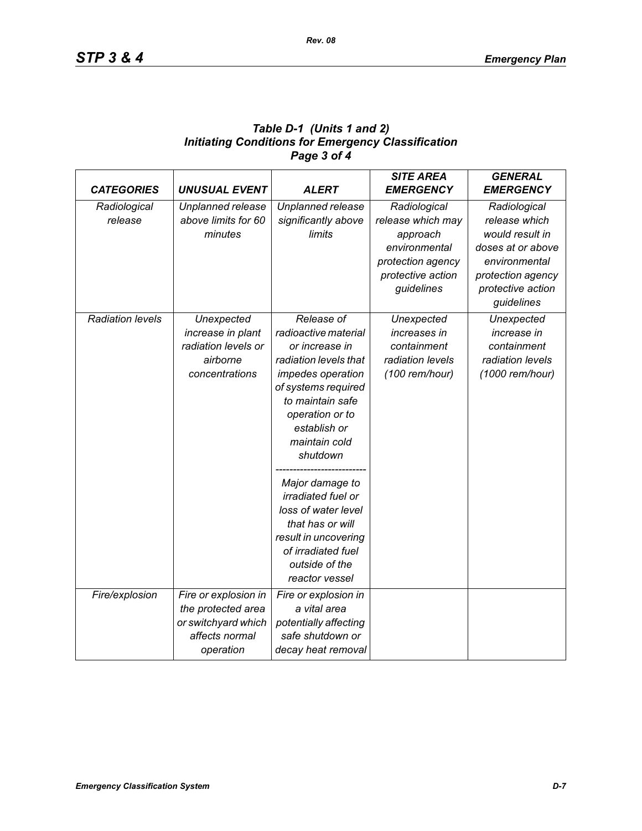| Table D-1 (Units 1 and 2)                                 |
|-----------------------------------------------------------|
| <b>Initiating Conditions for Emergency Classification</b> |
| Page 3 of 4                                               |

| <b>CATEGORIES</b>       | <b>UNUSUAL EVENT</b> | <b>ALERT</b>              | <b>SITE AREA</b><br><b>EMERGENCY</b> | <b>GENERAL</b><br><b>EMERGENCY</b> |
|-------------------------|----------------------|---------------------------|--------------------------------------|------------------------------------|
| Radiological            | Unplanned release    | Unplanned release         | Radiological                         | Radiological                       |
| release                 | above limits for 60  | significantly above       | release which may                    | release which                      |
|                         | minutes              | limits                    | approach                             | would result in                    |
|                         |                      |                           | environmental                        | doses at or above                  |
|                         |                      |                           | protection agency                    | environmental                      |
|                         |                      |                           | protective action                    | protection agency                  |
|                         |                      |                           | guidelines                           | protective action                  |
|                         |                      |                           |                                      | guidelines                         |
| <b>Radiation levels</b> | Unexpected           | Release of                | Unexpected                           | Unexpected                         |
|                         | increase in plant    | radioactive material      | increases in                         | increase in                        |
|                         | radiation levels or  | or increase in            | containment                          | containment                        |
|                         | airborne             | radiation levels that     | radiation levels                     | radiation levels                   |
|                         | concentrations       | impedes operation         | (100 rem/hour)                       | (1000 rem/hour)                    |
|                         |                      | of systems required       |                                      |                                    |
|                         |                      | to maintain safe          |                                      |                                    |
|                         |                      | operation or to           |                                      |                                    |
|                         |                      | establish or              |                                      |                                    |
|                         |                      | maintain cold             |                                      |                                    |
|                         |                      | shutdown                  |                                      |                                    |
|                         |                      | Major damage to           |                                      |                                    |
|                         |                      | <i>irradiated fuel or</i> |                                      |                                    |
|                         |                      | loss of water level       |                                      |                                    |
|                         |                      | that has or will          |                                      |                                    |
|                         |                      | result in uncovering      |                                      |                                    |
|                         |                      | of irradiated fuel        |                                      |                                    |
|                         |                      | outside of the            |                                      |                                    |
|                         |                      | reactor vessel            |                                      |                                    |
| Fire/explosion          | Fire or explosion in | Fire or explosion in      |                                      |                                    |
|                         | the protected area   | a vital area              |                                      |                                    |
|                         | or switchyard which  | potentially affecting     |                                      |                                    |
|                         | affects normal       | safe shutdown or          |                                      |                                    |
|                         | operation            | decay heat removal        |                                      |                                    |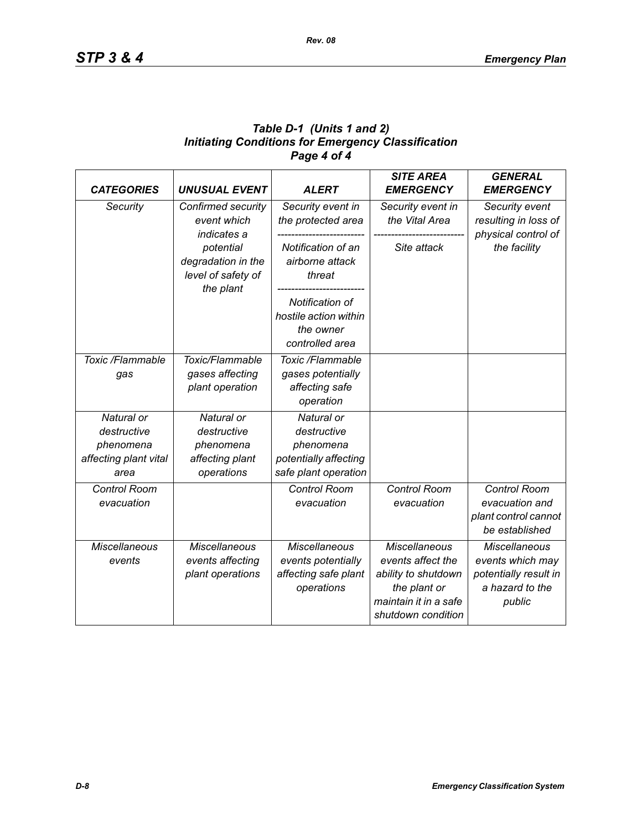## *Table D-1 (Units 1 and 2) Initiating Conditions for Emergency Classification Page 4 of 4*

| <b>CATEGORIES</b>                                                       | <b>UNUSUAL EVENT</b>                                                    | <b>ALERT</b>                                                                            | <b>SITE AREA</b><br><b>EMERGENCY</b>                                                                                            | <b>GENERAL</b><br><b>EMERGENCY</b>                                                             |
|-------------------------------------------------------------------------|-------------------------------------------------------------------------|-----------------------------------------------------------------------------------------|---------------------------------------------------------------------------------------------------------------------------------|------------------------------------------------------------------------------------------------|
| Security                                                                | Confirmed security<br>event which<br>indicates a                        | Security event in<br>the protected area                                                 | Security event in<br>the Vital Area                                                                                             | Security event<br>resulting in loss of<br>physical control of                                  |
|                                                                         | potential<br>degradation in the<br>level of safety of<br>the plant      | Notification of an<br>airborne attack<br>threat                                         | Site attack                                                                                                                     | the facility                                                                                   |
|                                                                         |                                                                         | Notification of<br>hostile action within<br>the owner<br>controlled area                |                                                                                                                                 |                                                                                                |
| Toxic /Flammable<br>gas                                                 | Toxic/Flammable<br>gases affecting<br>plant operation                   | Toxic /Flammable<br>gases potentially<br>affecting safe<br>operation                    |                                                                                                                                 |                                                                                                |
| Natural or<br>destructive<br>phenomena<br>affecting plant vital<br>area | Natural or<br>destructive<br>phenomena<br>affecting plant<br>operations | Natural or<br>destructive<br>phenomena<br>potentially affecting<br>safe plant operation |                                                                                                                                 |                                                                                                |
| Control Room<br>evacuation                                              |                                                                         | <b>Control Room</b><br>evacuation                                                       | Control Room<br>evacuation                                                                                                      | Control Room<br>evacuation and<br>plant control cannot<br>be established                       |
| <b>Miscellaneous</b><br>events                                          | <b>Miscellaneous</b><br>events affecting<br>plant operations            | <b>Miscellaneous</b><br>events potentially<br>affecting safe plant<br>operations        | <b>Miscellaneous</b><br>events affect the<br>ability to shutdown<br>the plant or<br>maintain it in a safe<br>shutdown condition | <b>Miscellaneous</b><br>events which may<br>potentially result in<br>a hazard to the<br>public |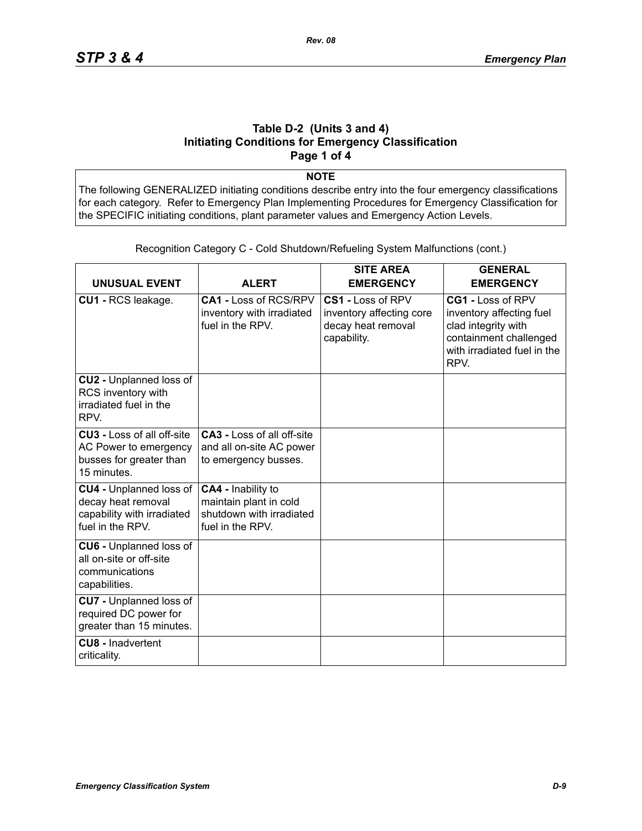#### **Table D-2 (Units 3 and 4) Initiating Conditions for Emergency Classification Page 1 of 4**

**NOTE**

The following GENERALIZED initiating conditions describe entry into the four emergency classifications for each category. Refer to Emergency Plan Implementing Procedures for Emergency Classification for the SPECIFIC initiating conditions, plant parameter values and Emergency Action Levels.

| <b>UNUSUAL EVENT</b>                                                                                   | <b>ALERT</b>                                                                                 | <b>SITE AREA</b><br><b>EMERGENCY</b>                                               | <b>GENERAL</b><br><b>EMERGENCY</b>                                                                                                    |
|--------------------------------------------------------------------------------------------------------|----------------------------------------------------------------------------------------------|------------------------------------------------------------------------------------|---------------------------------------------------------------------------------------------------------------------------------------|
| CU1 - RCS leakage.                                                                                     | CA1 - Loss of RCS/RPV<br>inventory with irradiated<br>fuel in the RPV.                       | CS1 - Loss of RPV<br>inventory affecting core<br>decay heat removal<br>capability. | CG1 - Loss of RPV<br>inventory affecting fuel<br>clad integrity with<br>containment challenged<br>with irradiated fuel in the<br>RPV. |
| CU2 - Unplanned loss of<br>RCS inventory with<br>irradiated fuel in the<br>RPV.                        |                                                                                              |                                                                                    |                                                                                                                                       |
| <b>CU3 - Loss of all off-site</b><br>AC Power to emergency<br>busses for greater than<br>15 minutes.   | <b>CA3 - Loss of all off-site</b><br>and all on-site AC power<br>to emergency busses.        |                                                                                    |                                                                                                                                       |
| <b>CU4 - Unplanned loss of</b><br>decay heat removal<br>capability with irradiated<br>fuel in the RPV. | CA4 - Inability to<br>maintain plant in cold<br>shutdown with irradiated<br>fuel in the RPV. |                                                                                    |                                                                                                                                       |
| <b>CU6 - Unplanned loss of</b><br>all on-site or off-site<br>communications<br>capabilities.           |                                                                                              |                                                                                    |                                                                                                                                       |
| <b>CU7</b> - Unplanned loss of<br>required DC power for<br>greater than 15 minutes.                    |                                                                                              |                                                                                    |                                                                                                                                       |
| <b>CU8 - Inadvertent</b><br>criticality.                                                               |                                                                                              |                                                                                    |                                                                                                                                       |

Recognition Category C - Cold Shutdown/Refueling System Malfunctions (cont.)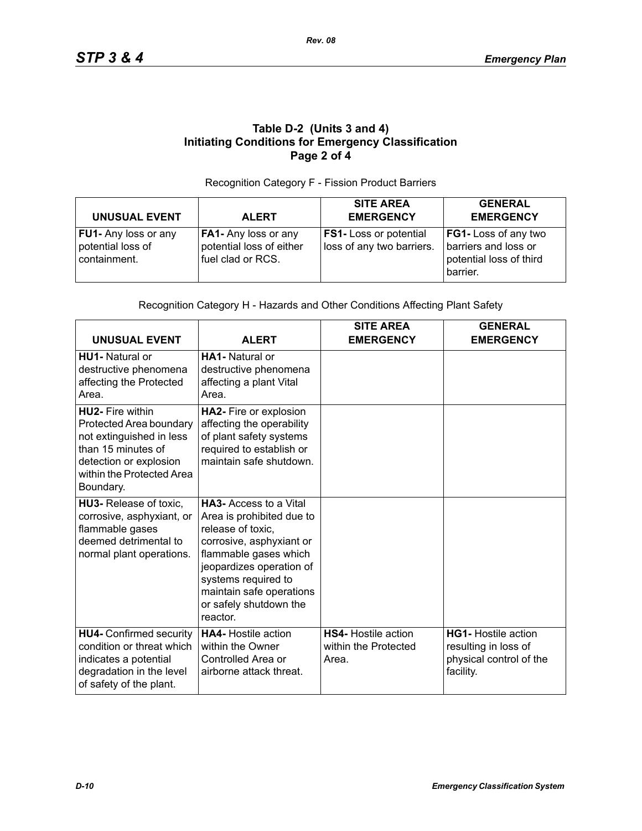## **Table D-2 (Units 3 and 4) Initiating Conditions for Emergency Classification Page 2 of 4**

#### Recognition Category F - Fission Product Barriers

| <b>UNUSUAL EVENT</b>                                             | <b>ALERT</b>                                                          | <b>SITE AREA</b><br><b>EMERGENCY</b>                       | <b>GENERAL</b><br><b>EMERGENCY</b>                                                  |
|------------------------------------------------------------------|-----------------------------------------------------------------------|------------------------------------------------------------|-------------------------------------------------------------------------------------|
| <b>FU1-</b> Any loss or any<br>potential loss of<br>containment. | FA1- Any loss or any<br>potential loss of either<br>fuel clad or RCS. | <b>FS1-</b> Loss or potential<br>loss of any two barriers. | FG1- Loss of any two<br>barriers and loss or<br>potential loss of third<br>barrier. |

#### Recognition Category H - Hazards and Other Conditions Affecting Plant Safety

| <b>UNUSUAL EVENT</b>                                                                                                                                                     | <b>ALERT</b>                                                                                                                                                                                                                                              | <b>SITE AREA</b><br><b>EMERGENCY</b>                        | <b>GENERAL</b><br><b>EMERGENCY</b>                                                         |
|--------------------------------------------------------------------------------------------------------------------------------------------------------------------------|-----------------------------------------------------------------------------------------------------------------------------------------------------------------------------------------------------------------------------------------------------------|-------------------------------------------------------------|--------------------------------------------------------------------------------------------|
| <b>HU1-</b> Natural or<br>destructive phenomena<br>affecting the Protected<br>Area.                                                                                      | HA1- Natural or<br>destructive phenomena<br>affecting a plant Vital<br>Area.                                                                                                                                                                              |                                                             |                                                                                            |
| <b>HU2-</b> Fire within<br>Protected Area boundary<br>not extinguished in less<br>than 15 minutes of<br>detection or explosion<br>within the Protected Area<br>Boundary. | HA2- Fire or explosion<br>affecting the operability<br>of plant safety systems<br>required to establish or<br>maintain safe shutdown.                                                                                                                     |                                                             |                                                                                            |
| HU3- Release of toxic.<br>corrosive, asphyxiant, or<br>flammable gases<br>deemed detrimental to<br>normal plant operations.                                              | <b>HA3-</b> Access to a Vital<br>Area is prohibited due to<br>release of toxic,<br>corrosive, asphyxiant or<br>flammable gases which<br>jeopardizes operation of<br>systems required to<br>maintain safe operations<br>or safely shutdown the<br>reactor. |                                                             |                                                                                            |
| <b>HU4-</b> Confirmed security<br>condition or threat which<br>indicates a potential<br>degradation in the level<br>of safety of the plant.                              | <b>HA4-</b> Hostile action<br>within the Owner<br>Controlled Area or<br>airborne attack threat.                                                                                                                                                           | <b>HS4-</b> Hostile action<br>within the Protected<br>Area. | <b>HG1-</b> Hostile action<br>resulting in loss of<br>physical control of the<br>facility. |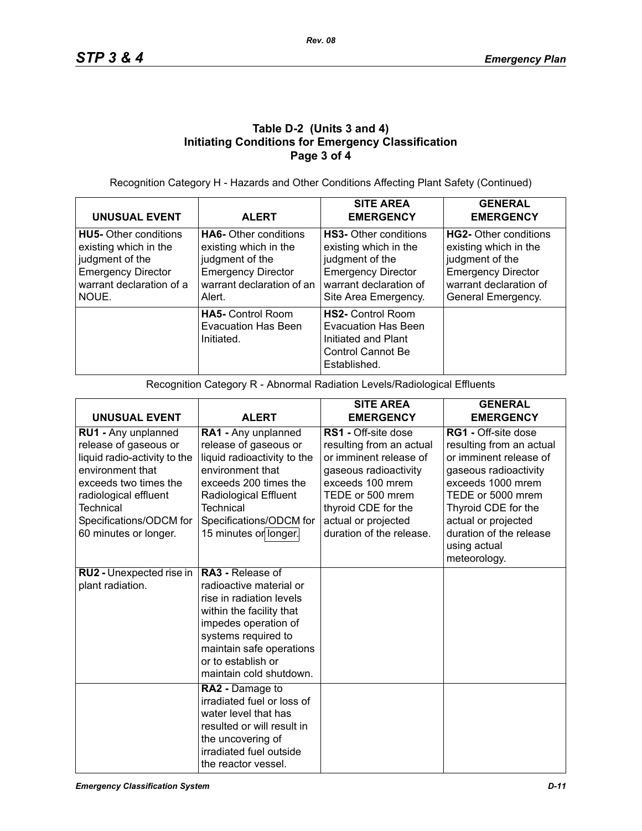## **Table D-2 (Units 3 and 4) Initiating Conditions for Emergency Classification Page 3 of 4**

Recognition Category H - Hazards and Other Conditions Affecting Plant Safety (Continued)

| <b>UNUSUAL EVENT</b>                                                                                                                       | <b>ALERT</b>                                                                                                                                 | <b>SITE AREA</b><br><b>EMERGENCY</b>                                                                                                                    | <b>GENERAL</b><br><b>EMERGENCY</b>                                                                                                             |
|--------------------------------------------------------------------------------------------------------------------------------------------|----------------------------------------------------------------------------------------------------------------------------------------------|---------------------------------------------------------------------------------------------------------------------------------------------------------|------------------------------------------------------------------------------------------------------------------------------------------------|
| <b>HU5-</b> Other conditions<br>existing which in the<br>judgment of the<br><b>Emergency Director</b><br>warrant declaration of a<br>NOUE. | <b>HA6-</b> Other conditions<br>existing which in the<br>judgment of the<br><b>Emergency Director</b><br>warrant declaration of an<br>Alert. | <b>HS3-</b> Other conditions<br>existing which in the<br>judgment of the<br><b>Emergency Director</b><br>warrant declaration of<br>Site Area Emergency. | HG2- Other conditions<br>existing which in the<br>judgment of the<br><b>Emergency Director</b><br>warrant declaration of<br>General Emergency. |
|                                                                                                                                            | <b>HA5-</b> Control Room<br><b>Evacuation Has Been</b><br>Initiated.                                                                         | <b>HS2-</b> Control Room<br>Evacuation Has Been<br>Initiated and Plant<br>Control Cannot Be<br>Established.                                             |                                                                                                                                                |

Recognition Category R - Abnormal Radiation Levels/Radiological Effluents

|                                                                                                                                                                                                                            |                                                                                                                                                                                                                                  | <b>SITE AREA</b>                                                                                                                                                                                                            | <b>GENERAL</b>                                                                                                                                                                                                                                               |
|----------------------------------------------------------------------------------------------------------------------------------------------------------------------------------------------------------------------------|----------------------------------------------------------------------------------------------------------------------------------------------------------------------------------------------------------------------------------|-----------------------------------------------------------------------------------------------------------------------------------------------------------------------------------------------------------------------------|--------------------------------------------------------------------------------------------------------------------------------------------------------------------------------------------------------------------------------------------------------------|
| <b>UNUSUAL EVENT</b>                                                                                                                                                                                                       | <b>ALERT</b>                                                                                                                                                                                                                     | <b>EMERGENCY</b>                                                                                                                                                                                                            | <b>EMERGENCY</b>                                                                                                                                                                                                                                             |
| RU1 - Any unplanned<br>release of gaseous or<br>liquid radio-activity to the<br>environment that<br>exceeds two times the<br>radiological effluent<br><b>Technical</b><br>Specifications/ODCM for<br>60 minutes or longer. | RA1 - Any unplanned<br>release of gaseous or<br>liquid radioactivity to the<br>environment that<br>exceeds 200 times the<br><b>Radiological Effluent</b><br><b>Technical</b><br>Specifications/ODCM for<br>15 minutes or longer. | <b>RS1</b> - Off-site dose<br>resulting from an actual<br>or imminent release of<br>gaseous radioactivity<br>exceeds 100 mrem<br>TEDE or 500 mrem<br>thyroid CDE for the<br>actual or projected<br>duration of the release. | <b>RG1 - Off-site dose</b><br>resulting from an actual<br>or imminent release of<br>gaseous radioactivity<br>exceeds 1000 mrem<br>TEDE or 5000 mrem<br>Thyroid CDE for the<br>actual or projected<br>duration of the release<br>using actual<br>meteorology. |
| RU2 - Unexpected rise in<br>plant radiation.                                                                                                                                                                               | RA3 - Release of<br>radioactive material or<br>rise in radiation levels<br>within the facility that<br>impedes operation of<br>systems required to<br>maintain safe operations<br>or to establish or<br>maintain cold shutdown.  |                                                                                                                                                                                                                             |                                                                                                                                                                                                                                                              |
|                                                                                                                                                                                                                            | RA2 - Damage to<br>irradiated fuel or loss of<br>water level that has<br>resulted or will result in<br>the uncovering of<br>irradiated fuel outside<br>the reactor vessel.                                                       |                                                                                                                                                                                                                             |                                                                                                                                                                                                                                                              |